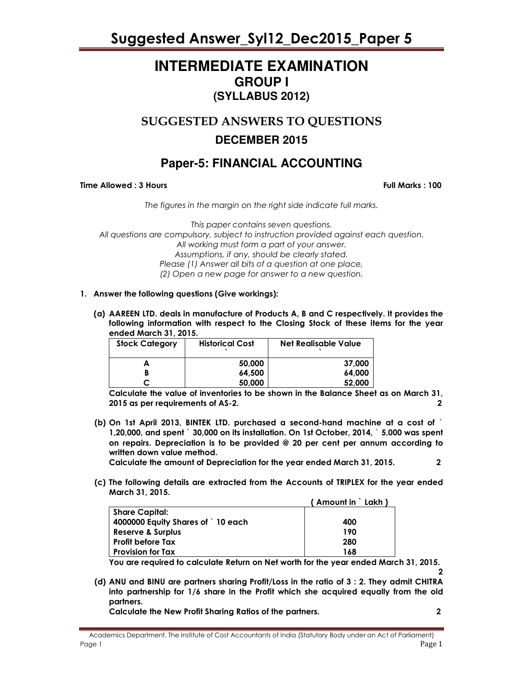### **INTERMEDIATE EXAMINATION GROUP I (SYLLABUS 2012)**

### SUGGESTED ANSWERS TO QUESTIONS

### **DECEMBER 2015**

### **Paper-5: FINANCIAL ACCOUNTING**

Time Allowed : 3 Hours Full Marks : 100

The figures in the margin on the right side indicate full marks.

This paper contains seven questions. All questions are compulsory, subject to instruction provided against each question. All working must form a part of your answer. Assumptions, if any, should be clearly stated. Please (1) Answer all bits of a question at one place, (2) Open a new page for answer to a new question.

- 1. Answer the following questions (Give workings):
	- (a) AAREEN LTD. deals in manufacture of Products A, B and C respectively. It provides the following information with respect to the Closing Stock of these items for the year ended March 31, 2015.

| <b>Stock Category</b> | <b>Historical Cost</b> | Net Realisable Value |
|-----------------------|------------------------|----------------------|
|                       | 50,000                 | 37,000               |
|                       | 64.500                 | 64.000               |
|                       | 50,000                 | 52,000               |

Calculate the value of inventories to be shown in the Balance Sheet as on March 31, 2015 as per requirements of AS-2. 2

(b) On 1st April 2013, BINTEK LTD. purchased a second-hand machine at a cost of ` 1,20,000, and spent ` 30,000 on its installation. On 1st October, 2014, ` 5,000 was spent on repairs. Depreciation is to be provided @ 20 per cent per annum according to written down value method.

Calculate the amount of Depreciation for the year ended March 31, 2015. 2

- 
- (c) The following details are extracted from the Accounts of TRIPLEX for the year ended March 31, 2015.

|                                   | (Amount in ` Lakh) |
|-----------------------------------|--------------------|
| <b>Share Capital:</b>             |                    |
| 4000000 Equity Shares of `10 each | 400                |
| <b>Reserve &amp; Surplus</b>      | 190                |
| <b>Profit before Tax</b>          | 280                |
| <b>Provision for Tax</b>          | 168                |

You are required to calculate Return on Net worth for the year ended March 31, 2015. 2

(d) ANU and BINU are partners sharing Profit/Loss in the ratio of 3 : 2. They admit CHITRA into partnership for 1/6 share in the Profit which she acquired equally from the old partners.

Calculate the New Profit Sharing Ratios of the partners. 2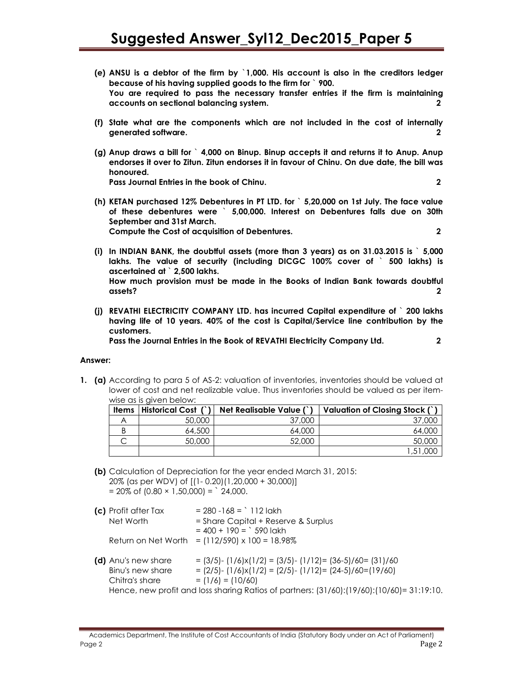- (e) ANSU is a debtor of the firm by `1,000. His account is also in the creditors ledger because of his having supplied goods to the firm for ` 900. You are required to pass the necessary transfer entries if the firm is maintaining accounts on sectional balancing system. 2
- (f) State what are the components which are not included in the cost of internally generated software. 2
- (g) Anup draws a bill for ` 4,000 on Binup. Binup accepts it and returns it to Anup. Anup endorses it over to Zitun. Zitun endorses it in favour of Chinu. On due date, the bill was honoured. Pass Journal Entries in the book of Chinu. 2
- (h) KETAN purchased 12% Debentures in PT LTD. for ` 5,20,000 on 1st July. The face value of these debentures were ` 5,00,000. Interest on Debentures falls due on 30th September and 31st March. Compute the Cost of acquisition of Debentures. 2

- (i) In INDIAN BANK, the doubtful assets (more than 3 years) as on 31.03.2015 is  $\cdot$  5,000 lakhs. The value of security (including DICGC 100% cover of ` 500 lakhs) is ascertained at ` 2,500 lakhs. How much provision must be made in the Books of Indian Bank towards doubtful assets? 2
- (j) REVATHI ELECTRICITY COMPANY LTD. has incurred Capital expenditure of ` 200 lakhs having life of 10 years. 40% of the cost is Capital/Service line contribution by the customers.

Pass the Journal Entries in the Book of REVATHI Electricity Company Ltd. 2

#### Answer:

1. (a) According to para 5 of AS-2: valuation of inventories, inventories should be valued at lower of cost and net realizable value. Thus inventories should be valued as per itemwise as is given below:

| <b>Items</b> | Historical Cost (`) | Net Realisable Value (`) | Valuation of Closing Stock (`) |
|--------------|---------------------|--------------------------|--------------------------------|
|              | 50,000              | 37,000                   | 37,000                         |
|              | 64,500              | 64,000                   | 64,000                         |
|              | 50,000              | 52,000                   | 50,000                         |
|              |                     |                          | ' ,51                          |

(b) Calculation of Depreciation for the year ended March 31, 2015: 20% (as per WDV) of [(1- 0.20)(1,20,000 + 30,000)]  $= 20\% \text{ of } (0.80 \times 1,50,000) =$  24,000.

| (c) Profit after Tax<br>Net Worth                         | $= 280 - 168 =$ 112 lakh<br>= Share Capital + Reserve & Surplus<br>$= 400 + 190 =$ 590 lakh                                                         |
|-----------------------------------------------------------|-----------------------------------------------------------------------------------------------------------------------------------------------------|
|                                                           | Return on Net Worth = $(112/590) \times 100 = 18.98\%$                                                                                              |
| (d) Anu's new share<br>Binu's new share<br>Chitra's share | $=$ (3/5)- (1/6)x(1/2) = (3/5)- (1/12)= (36-5)/60= (31)/60<br>$= (2/5) - (1/6)x(1/2) = (2/5) - (1/12) = (24-5)/60 = (19/60)$<br>$= (1/6) = (10/60)$ |
|                                                           | Hence, new profit and loss sharing Ratios of partners: (31/60):(19/60):(10/60)= 31:19:10.                                                           |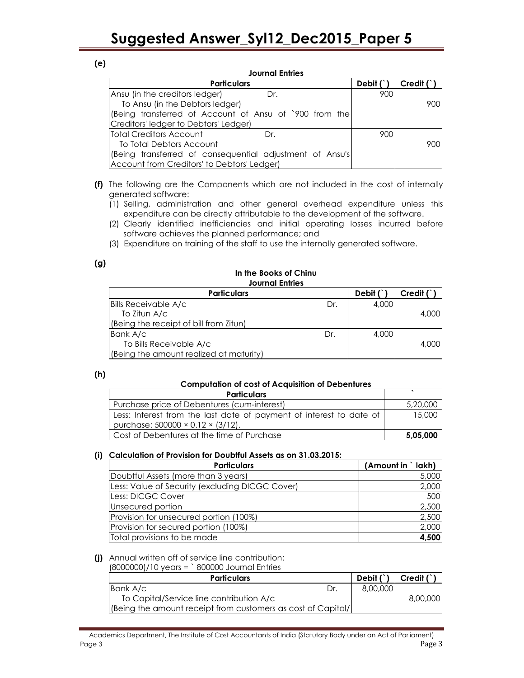| ×<br>٦<br>w<br>۰. |
|-------------------|
|-------------------|

| <b>Journal Entries</b>                                   |           |            |  |
|----------------------------------------------------------|-----------|------------|--|
| <b>Particulars</b>                                       | Debit $($ | Credif ( ) |  |
| Ansu (in the creditors ledger)<br>Dr.                    | 900       |            |  |
| To Ansu (in the Debtors ledger)                          |           | 900        |  |
| (Being transferred of Account of Ansu of `900 from the   |           |            |  |
| Creditors' ledger to Debtors' Ledger)                    |           |            |  |
| Total Creditors Account<br>Dr.                           | 900       |            |  |
| To Total Debtors Account                                 |           | 900        |  |
| (Being transferred of consequential adjustment of Ansu's |           |            |  |
| Account from Creditors' to Debtors' Ledger)              |           |            |  |

- (f) The following are the Components which are not included in the cost of internally generated software:
	- (1) Selling, administration and other general overhead expenditure unless this expenditure can be directly attributable to the development of the software.
	- (2) Clearly identified inefficiencies and initial operating losses incurred before software achieves the planned performance; and
	- (3) Expenditure on training of the staff to use the internally generated software.

| ٠<br>$\sim$ |  |  |
|-------------|--|--|
|-------------|--|--|

#### In the Books of Chinu Journal Entries

| <b>Particulars</b>                      |     | Debit $($ | Credif ( |
|-----------------------------------------|-----|-----------|----------|
| <b>Bills Receivable A/c</b>             | Dr. | 4,000     |          |
| To Zitun A/c                            |     |           | 4,000    |
| (Being the receipt of bill from Zitun)  |     |           |          |
| Bank A/c                                | Dr. | 4,000     |          |
| To Bills Receivable A/c                 |     |           | 4,000    |
| (Being the amount realized at maturity) |     |           |          |

#### (h)

#### Computation of cost of Acquisition of Debentures

| <b>Particulars</b>                                                  |          |
|---------------------------------------------------------------------|----------|
| Purchase price of Debentures (cum-interest)                         | 5,20,000 |
| Less: Interest from the last date of payment of interest to date of | 5.000    |
| purchase: $500000 \times 0.12 \times (3/12)$ .                      |          |
| Cost of Debentures at the time of Purchase                          | 5,05,000 |

#### (i) Calculation of Provision for Doubtful Assets as on 31.03.2015:

| <b>Particulars</b>                              | (Amount in `lakh) |
|-------------------------------------------------|-------------------|
| Doubtful Assets (more than 3 years)             | 5,000             |
| Less: Value of Security (excluding DICGC Cover) | 2,000             |
| Less: DICGC Cover                               | 500               |
| Unsecured portion                               | 2,500             |
| Provision for unsecured portion (100%)          | 2,500             |
| Provision for secured portion (100%)            | 2,000             |
| Total provisions to be made                     | 4,500             |

#### (j) Annual written off of service line contribution:

#### (8000000)/10 years = ` 800000 Journal Entries

| <b>Particulars</b>                                            |     | Debit $( )$ | Credit (`, |
|---------------------------------------------------------------|-----|-------------|------------|
| Bank A/c                                                      | Dr. | 8,00,000    |            |
| To Capital/Service line contribution A/c                      |     |             | 8,00,000   |
| (Being the amount receipt from customers as cost of Capital/) |     |             |            |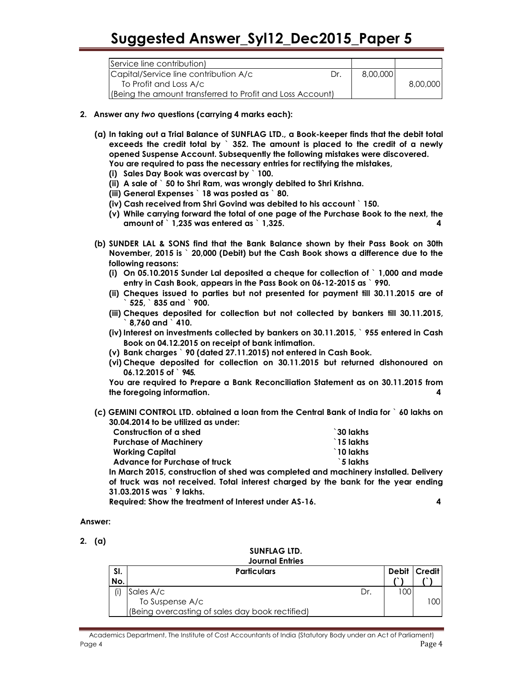| Service line contribution)                                                          |     |          |          |
|-------------------------------------------------------------------------------------|-----|----------|----------|
| Capital/Service line contribution A/c                                               | Dr. | 8,00,000 | 8,00,000 |
| To Profit and Loss A/c<br>(Being the amount transferred to Profit and Loss Account) |     |          |          |

- 2. Answer any two questions (carrying 4 marks each):
	- (a) In taking out a Trial Balance of SUNFLAG LTD., a Book-keeper finds that the debit total exceeds the credit total by ` 352. The amount is placed to the credit of a newly opened Suspense Account. Subsequently the following mistakes were discovered. You are required to pass the necessary entries for rectifying the mistakes,
		- (i) Sales Day Book was overcast by ` 100.
		- (ii) A sale of ` 50 to Shri Ram, was wrongly debited to Shri Krishna.
		- (iii) General Expenses ` 18 was posted as ` 80.
		- (iv) Cash received from Shri Govind was debited to his account ` 150.
		- (v) While carrying forward the total of one page of the Purchase Book to the next, the amount of  $\degree$  1,235 was entered as  $\degree$  1,325.
	- (b) SUNDER LAL & SONS find that the Bank Balance shown by their Pass Book on 30th November, 2015 is ` 20,000 (Debit) but the Cash Book shows a difference due to the following reasons:
		- (i) On 05.10.2015 Sunder Lal deposited a cheque for collection of ` 1,000 and made entry in Cash Book, appears in the Pass Book on 06-12-2015 as ` 990.
		- (ii) Cheques issued to parties but not presented for payment till 30.11.2015 are of ` 525, ` 835 and ` 900.
		- (iii) Cheques deposited for collection but not collected by bankers till 30.11.2015,  $8.760$  and  $\degree$  410.
		- (iv) Interest on investments collected by bankers on 30.11.2015, ` 955 entered in Cash Book on 04.12.2015 on receipt of bank intimation.
		- (v) Bank charges ` 90 (dated 27.11.2015) not entered in Cash Book.
		- (vi) Cheque deposited for collection on 30.11.2015 but returned dishonoured on 06.12.2015 of ` 945.

You are required to Prepare a Bank Reconciliation Statement as on 30.11.2015 from the foregoing information. 4

(c) GEMINI CONTROL LTD. obtained a loan from the Central Bank of India for ` 60 lakhs on 30.04.2014 to be utilized as under:

| Construction of a shed        | `30 lakhs          |
|-------------------------------|--------------------|
| <b>Purchase of Machinery</b>  | $\degree$ 15 lakhs |
| Working Capital               | $\degree$ 10 lakhs |
| Advance for Purchase of truck | `5 lakhs           |

In March 2015, construction of shed was completed and machinery installed. Delivery of truck was not received. Total interest charged by the bank for the year ending 31.03.2015 was ` 9 lakhs.

Required: Show the treatment of Interest under AS-16. 4

#### Answer:

2. (a)

#### SUNFLAG LTD. Journal Entries

| SI.<br>No. | <b>Particulars</b>                              |     | Debit | <b>Credit</b> |
|------------|-------------------------------------------------|-----|-------|---------------|
|            | Sales A/c                                       | Dr. | 100   |               |
|            | To Suspense A/c                                 |     |       | 1001          |
|            | (Being overcasting of sales day book rectified) |     |       |               |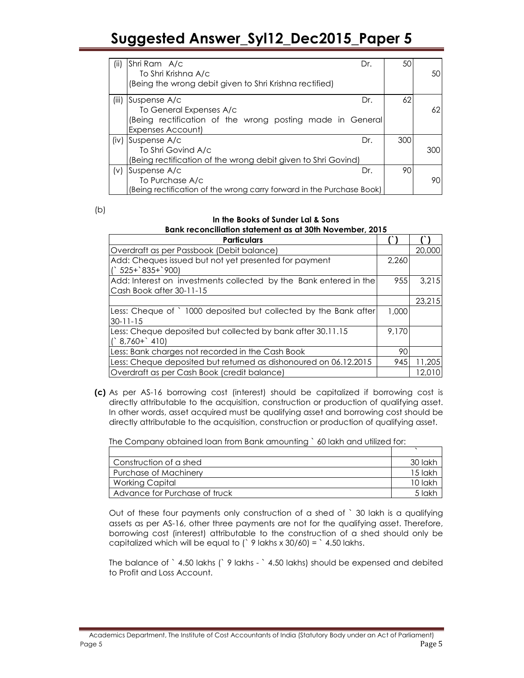| (ii)  | Shri Ram A/c<br>To Shri Krishna A/c<br>(Being the wrong debit given to Shri Krishna rectified)                            | Dr. | 50  | 50  |
|-------|---------------------------------------------------------------------------------------------------------------------------|-----|-----|-----|
| (iii) | Suspense A/c<br>To General Expenses A/c<br>(Being rectification of the wrong posting made in General<br>Expenses Account) | Dr. | 62  | 62  |
| (iv)  | Suspense A/c<br>To Shri Govind A/c<br>(Being rectification of the wrong debit given to Shri Govind)                       | Dr. | 300 | 300 |
| (v)   | Suspense A/c<br>To Purchase A/c<br>(Being rectification of the wrong carry forward in the Purchase Book)                  | Dr. | 90  | 90  |

(b)

#### In the Books of Sunder Lal & Sons Bank reconciliation statement as at 30th November, 2015

| <b>Particulars</b>                                                |       |        |
|-------------------------------------------------------------------|-------|--------|
| Overdraft as per Passbook (Debit balance)                         |       | 20,000 |
| Add: Cheques issued but not yet presented for payment             | 2.260 |        |
| $($ ` 525+`835+`900)                                              |       |        |
| Add: Interest on investments collected by the Bank entered in the | 955   | 3,215  |
| Cash Book after 30-11-15                                          |       |        |
|                                                                   |       | 23,215 |
| Less: Cheque of ` 1000 deposited but collected by the Bank after  | 1,000 |        |
| $30 - 11 - 15$                                                    |       |        |
| Less: Cheque deposited but collected by bank after 30.11.15       | 9.170 |        |
| $(^{6}8,760+^{6}410)$                                             |       |        |
| Less: Bank charges not recorded in the Cash Book                  | 90    |        |
| Less: Cheque deposited but returned as dishonoured on 06.12.2015  | 945   | 11,205 |
| Overdraft as per Cash Book (credit balance)                       |       | 12.010 |

(c) As per AS-16 borrowing cost (interest) should be capitalized if borrowing cost is directly attributable to the acquisition, construction or production of qualifying asset. In other words, asset acquired must be qualifying asset and borrowing cost should be directly attributable to the acquisition, construction or production of qualifying asset.

The Company obtained loan from Bank amounting ` 60 lakh and utilized for:

| Construction of a shed        | .30 lakh  |
|-------------------------------|-----------|
| Purchase of Machinery         | 15 lakh   |
| Working Capital               | $10$ lakh |
| Advance for Purchase of truck | .5 lakh   |

Out of these four payments only construction of a shed of ` 30 lakh is a qualifying assets as per AS-16, other three payments are not for the qualifying asset. Therefore, borrowing cost (interest) attributable to the construction of a shed should only be capitalized which will be equal to ( $\degree$  9 lakhs x 30/60) =  $\degree$  4.50 lakhs.

The balance of ` 4.50 lakhs (` 9 lakhs - ` 4.50 lakhs) should be expensed and debited to Profit and Loss Account.

Academics Department, The Institute of Cost Accountants of India (Statutory Body under an Act of Parliament) Page 5 Page 5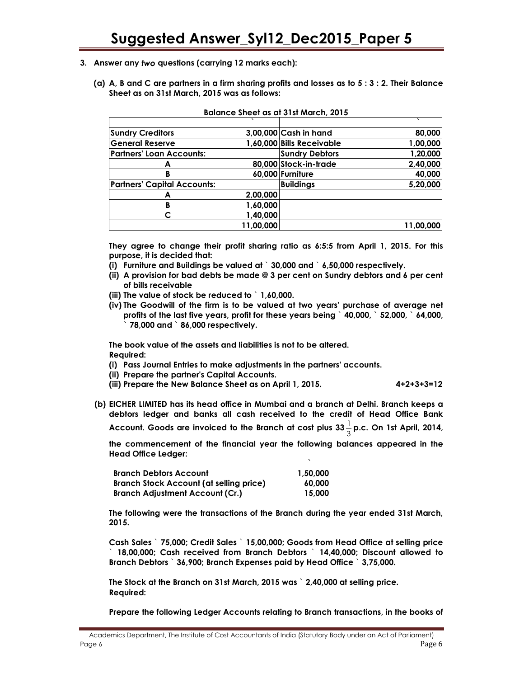- 3. Answer any two questions (carrying 12 marks each):
	- (a) A, B and C are partners in a firm sharing profits and losses as to 5 : 3 : 2. Their Balance Sheet as on 31st March, 2015 was as follows:

|                                    | $\lambda$ |                           | $\cdot$   |
|------------------------------------|-----------|---------------------------|-----------|
| <b>Sundry Creditors</b>            |           | 3,00,000 Cash in hand     | 80,000    |
| <b>General Reserve</b>             |           | 1,60,000 Bills Receivable | 1,00,000  |
| <b>Partners' Loan Accounts:</b>    |           | <b>Sundry Debtors</b>     | 1,20,000  |
|                                    |           | 80,000 Stock-in-trade     | 2,40,000  |
| в                                  |           | 60,000 Furniture          | 40,000    |
| <b>Partners' Capital Accounts:</b> |           | <b>Buildings</b>          | 5,20,000  |
|                                    | 2,00,000  |                           |           |
| в                                  | 1,60,000  |                           |           |
|                                    | 1,40,000  |                           |           |
|                                    | 11,00,000 |                           | 11,00,000 |

#### Balance Sheet as at 31st March, 2015

They agree to change their profit sharing ratio as 6:5:5 from April 1, 2015. For this purpose, it is decided that:

- (i) Furniture and Buildings be valued at ` 30,000 and ` 6,50,000 respectively.
- (ii) A provision for bad debts be made @ 3 per cent on Sundry debtors and 6 per cent of bills receivable
- (iii) The value of stock be reduced to ` 1,60,000.
- (iv) The Goodwill of the firm is to be valued at two years' purchase of average net profits of the last five years, profit for these years being ` 40,000, ` 52,000, ` 64,000, ` 78,000 and ` 86,000 respectively.

The book value of the assets and liabilities is not to be altered. Required:

- (i) Pass Journal Entries to make adjustments in the partners' accounts.
- (ii) Prepare the partner's Capital Accounts.
- (iii) Prepare the New Balance Sheet as on April 1, 2015. 4+2+3+3=12
- (b) EICHER LIMITED has its head office in Mumbai and a branch at Delhi. Branch keeps a debtors ledger and banks all cash received to the credit of Head Office Bank

Account. Goods are invoiced to the Branch at cost plus 33 $\frac{1}{3}$  p.c. On 1st April, 2014,

the commencement of the financial year the following balances appeared in the Head Office Ledger:

`

| <b>Branch Debtors Account</b>           | 1.50.000 |
|-----------------------------------------|----------|
| Branch Stock Account (at selling price) | 60,000   |
| <b>Branch Adjustment Account (Cr.)</b>  | 15,000   |

The following were the transactions of the Branch during the year ended 31st March, 2015.

Cash Sales ` 75,000; Credit Sales ` 15,00,000; Goods from Head Office at selling price ` 18,00,000; Cash received from Branch Debtors ` 14,40,000; Discount allowed to Branch Debtors ` 36,900; Branch Expenses paid by Head Office ` 3,75,000.

The Stock at the Branch on 31st March, 2015 was ` 2,40,000 at selling price. Required:

Prepare the following Ledger Accounts relating to Branch transactions, in the books of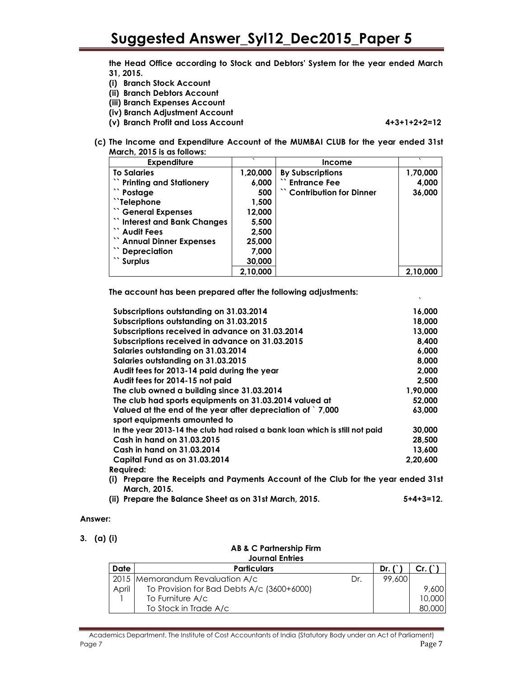the Head Office according to Stock and Debtors' System for the year ended March 31, 2015.

- (i) Branch Stock Account
- (ii) Branch Debtors Account
- (iii) Branch Expenses Account
- (iv) Branch Adjustment Account
- (v) Branch Profit and Loss Account 4+3+1+2+2=12

(c) The Income and Expenditure Account of the MUMBAI CLUB for the year ended 31st March, 2015 is as follows:

| <b>Expenditure</b>             | $\cdot$  | <b>Income</b>            |          |
|--------------------------------|----------|--------------------------|----------|
| <b>To Salaries</b>             | 1,20,000 | <b>By Subscriptions</b>  | 1,70,000 |
| <b>Printing and Stationery</b> | 6,000    | <b>Entrance Fee</b>      | 4,000    |
| "Postage                       | 500      | "Contribution for Dinner | 36,000   |
| "Telephone"                    | 1,500    |                          |          |
| "General Expenses              | 12,000   |                          |          |
| "Interest and Bank Changes     | 5,500    |                          |          |
| "Audit Fees                    | 2,500    |                          |          |
| " Annual Dinner Expenses       | 25,000   |                          |          |
| "Depreciation"                 | 7,000    |                          |          |
| Surplus <sup>3</sup>           | 30,000   |                          |          |
|                                | 2,10,000 |                          | 2,10,000 |

The account has been prepared after the following adjustments:

| Subscriptions outstanding on 31.03.2014                                                           | 16,000   |
|---------------------------------------------------------------------------------------------------|----------|
| Subscriptions outstanding on 31.03.2015                                                           | 18,000   |
| Subscriptions received in advance on 31.03.2014                                                   | 13,000   |
| Subscriptions received in advance on 31.03.2015                                                   | 8,400    |
| Salaries outstanding on 31.03.2014                                                                | 6,000    |
| Salaries outstanding on 31.03.2015                                                                | 8.000    |
| Audit fees for 2013-14 paid during the year                                                       | 2.000    |
| Audit fees for 2014-15 not paid                                                                   | 2,500    |
| The club owned a building since 31.03.2014                                                        | 1,90,000 |
| The club had sports equipments on 31.03.2014 valued at                                            | 52,000   |
| Valued at the end of the year after depreciation of `7,000                                        | 63,000   |
| sport equipments amounted to                                                                      |          |
| In the year 2013-14 the club had raised a bank loan which is still not paid                       | 30,000   |
| Cash in hand on 31,03,2015                                                                        | 28,500   |
| Cash in hand on 31.03.2014                                                                        | 13,600   |
| Capital Fund as on 31.03.2014                                                                     | 2,20,600 |
| Required:                                                                                         |          |
| (i) Prepare the Receipts and Payments Account of the Club for the year ended 31st<br>March, 2015. |          |
|                                                                                                   |          |

(ii) Prepare the Balance Sheet as on 31st March, 2015. 5+4+3=12.

#### Answer:

3. (a) (i)

#### AB & C Partnership Firm Journal Entries

|             | <b>JOUITUL LITTLES</b>                     |     |                             |        |
|-------------|--------------------------------------------|-----|-----------------------------|--------|
| <b>Date</b> | <b>Particulars</b>                         |     | $\mathsf{Dr}, \mathsf{C}^*$ |        |
|             | 2015 Memorandum Revaluation A/c            | Dr. | 99,600                      |        |
| April       | To Provision for Bad Debts A/c (3600+6000) |     |                             | 9,600  |
|             | To Furniture A/c                           |     |                             | 10,000 |
|             | To Stock in Trade A/c                      |     |                             | 80,000 |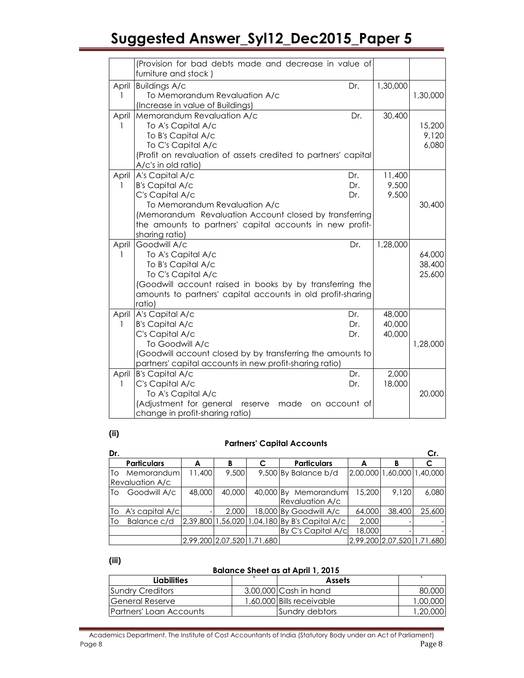|             | (Provision for bad debts made and decrease in value of<br>furniture and stock)                                                                                                                                                                                   |                            |                            |
|-------------|------------------------------------------------------------------------------------------------------------------------------------------------------------------------------------------------------------------------------------------------------------------|----------------------------|----------------------------|
| April<br>1  | <b>Buildings A/c</b><br>Dr.<br>To Memorandum Revaluation A/c<br>(Increase in value of Buildings)                                                                                                                                                                 | 1,30,000                   | 1,30,000                   |
| April<br>1  | Memorandum Revaluation A/c<br>Dr.<br>To A's Capital A/c<br>To B's Capital A/c<br>To C's Capital A/c<br>(Profit on revaluation of assets credited to partners' capital<br>A/c's in old ratio)                                                                     | 30,400                     | 15,200<br>9,120<br>6,080   |
| 1           | April A's Capital A/c<br>Dr.<br><b>B's Capital A/c</b><br>Dr.<br>C's Capital A/c<br>Dr.<br>To Memorandum Revaluation A/c<br>(Memorandum Revaluation Account closed by transferring<br>the amounts to partners' capital accounts in new profit-<br>sharing ratio) | 11,400<br>9,500<br>9,500   | 30,400                     |
| April<br>1  | Goodwill A/c<br>Dr.<br>To A's Capital A/c<br>To B's Capital A/c<br>To C's Capital A/c<br>(Goodwill account raised in books by by transferring the<br>amounts to partners' capital accounts in old profit-sharing<br>ratio)                                       | 1,28,000                   | 64,000<br>38,400<br>25,600 |
| 1           | April A's Capital A/c<br>Dr.<br><b>B's Capital A/c</b><br>Dr.<br>C's Capital A/c<br>Dr.<br>To Goodwill A/c<br>(Goodwill account closed by by transferring the amounts to<br>partners' capital accounts in new profit-sharing ratio)                              | 48,000<br>40,000<br>40,000 | 1,28,000                   |
| April<br>1. | <b>B's Capital A/c</b><br>Dr.<br>C's Capital A/c<br>Dr.<br>To A's Capital A/c<br>(Adjustment for general reserve<br>made<br>on account of<br>change in profit-sharing ratio)                                                                                     | 2,000<br>18,000            | 20,000                     |

### (ii)

#### Partners' Capital Accounts

| Dr. |                        |                            |        |                                               |        |        | Cr.                        |
|-----|------------------------|----------------------------|--------|-----------------------------------------------|--------|--------|----------------------------|
|     | <b>Particulars</b>     | A                          | в      | <b>Particulars</b>                            | А      | в      |                            |
| Τo  | Memorandum             | 11,400                     | 9,500  | 9,500 By Balance b/d                          |        |        | 2,00,000 1,60,000 1,40,000 |
|     | <b>Revaluation A/c</b> |                            |        |                                               |        |        |                            |
| Τo  | Goodwill A/c           | 48,000                     | 40,000 | 40,000 By Memorandum                          | 15,200 | 9.120  | 6,080                      |
|     |                        |                            |        | <b>Revaluation A/c</b>                        |        |        |                            |
| To  | A's capital A/c        |                            | 2,000  | 18,000 By Goodwill A/c                        | 64,000 | 38,400 | 25,600                     |
| To  | Balance c/d            |                            |        | 2,39,800 1,56,020 1,04,180 By B's Capital A/c | 2,000  |        |                            |
|     |                        |                            |        | By C's Capital A/c                            | 18,000 |        |                            |
|     |                        | 2,99,200 2,07,520 1,71,680 |        |                                               |        |        | 2,99,200 2,07,520 1,71,680 |

#### (iii)

#### Balance Sheet as at April 1, 2015

| <b>Liabilities</b>      | <b>Assets</b>             |          |
|-------------------------|---------------------------|----------|
| Sundry Creditors        | $3,00,000$ Cash in hand   | 80,000   |
| <b>General Reserve</b>  | 1,60,000 Bills receivable | 1,00,000 |
| Partners' Loan Accounts | Sundry debtors            | 1,20,000 |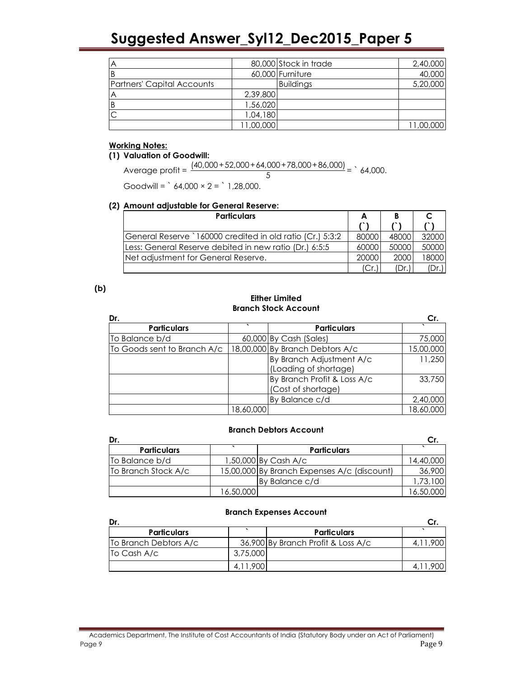|                                   |           | 80,000 Stock in trade | 2,40,000  |
|-----------------------------------|-----------|-----------------------|-----------|
|                                   |           | 60,000 Furniture      | 40,000    |
| <b>Partners' Capital Accounts</b> |           | <b>Buildings</b>      | 5,20,000  |
|                                   | 2,39,800  |                       |           |
|                                   | 1,56,020  |                       |           |
|                                   | 1,04,180  |                       |           |
|                                   | 11,00,000 |                       | 11,00,000 |

#### Working Notes:

#### (1) Valuation of Goodwill:

Average profit =  $\frac{(40,000+52,000+64,000+78,000+86,000)}{5}$  = `64,000. 5

Goodwill =  $64,000 \times 2 = 1,28,000$ .

#### (2) Amount adjustable for General Reserve:

| <b>Particulars</b>                                        | A     |       |       |
|-----------------------------------------------------------|-------|-------|-------|
|                                                           |       |       |       |
| General Reserve `160000 credited in old ratio (Cr.) 5:3:2 | 80000 | 48000 | 32000 |
| Less: General Reserve debited in new ratio (Dr.) 6:5:5    | 60000 | 50000 | 50000 |
| Net adjustment for General Reserve.                       | 20000 | 2000  | 18000 |
|                                                           |       | (Dr.  | Dr.   |

#### (b)

#### Either Limited Branch Stock Account

| Dr.                         |           |                                 | Сr.       |
|-----------------------------|-----------|---------------------------------|-----------|
| <b>Particulars</b>          |           | <b>Particulars</b>              |           |
| To Balance b/d              |           | 60,000 By Cash (Sales)          | 75,000    |
| To Goods sent to Branch A/c |           | 18,00,000 By Branch Debtors A/c | 15,00,000 |
|                             |           | By Branch Adjustment A/c        | 11,250    |
|                             |           | (Loading of shortage)           |           |
|                             |           | By Branch Profit & Loss A/c     | 33,750    |
|                             |           | (Cost of shortage)              |           |
|                             |           | By Balance c/d                  | 2,40,000  |
|                             | 18,60,000 |                                 | 18,60,000 |

#### Branch Debtors Account

| Dr.                 |           |                                             |           |
|---------------------|-----------|---------------------------------------------|-----------|
| <b>Particulars</b>  |           | <b>Particulars</b>                          |           |
| To Balance b/d      |           | 1,50,000 By Cash A/c                        | 14,40,000 |
| To Branch Stock A/c |           | 15,00,000 By Branch Expenses A/c (discount) | 36,900    |
|                     |           | By Balance c/d                              | 1,73,100  |
|                     | 16,50,000 |                                             | 16,50,000 |

#### Branch Expenses Account

| Dr.                      |          |                                    |  |
|--------------------------|----------|------------------------------------|--|
| <b>Particulars</b>       |          | <b>Particulars</b>                 |  |
| To Branch Debtors A/c    |          | 36,900 By Branch Profit & Loss A/c |  |
| $\overline{IO}$ Cash A/c | 3,75,000 |                                    |  |
|                          | 4.11.900 |                                    |  |

#### Academics Department, The Institute of Cost Accountants of India (Statutory Body under an Act of Parliament) Page 9 Page 9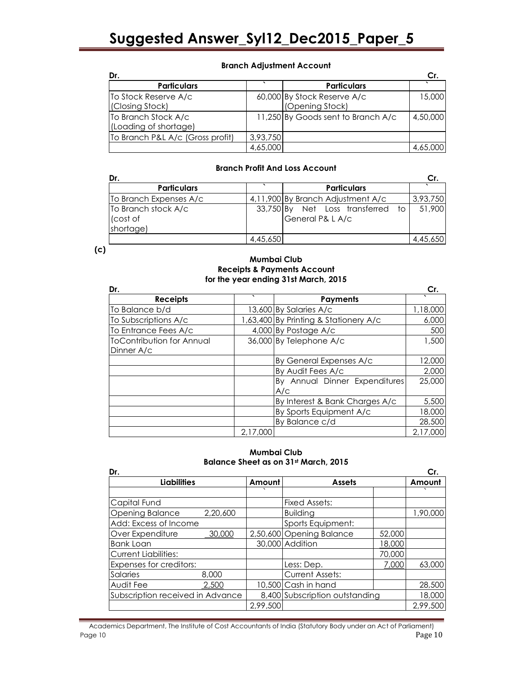#### Branch Adjustment Account

| Dr.                                          |          |                                                | Cr       |
|----------------------------------------------|----------|------------------------------------------------|----------|
| <b>Particulars</b>                           |          | <b>Particulars</b>                             |          |
| To Stock Reserve A/c<br>(Closing Stock)      |          | 60,000 By Stock Reserve A/c<br>(Opening Stock) | 15,000   |
| To Branch Stock A/c<br>(Loading of shortage) |          | 11,250 By Goods sent to Branch A/c             | 4,50,000 |
| To Branch P&L A/c (Gross profit)             | 3,93,750 |                                                |          |
|                                              | 4,65,000 |                                                | 4,65,000 |

#### Branch Profit And Loss Account

| Dr.                    |           |                                   |          |
|------------------------|-----------|-----------------------------------|----------|
| <b>Particulars</b>     |           | <b>Particulars</b>                |          |
| To Branch Expenses A/c |           | 4,11,900 By Branch Adjustment A/c | 3,93,750 |
| To Branch stock A/c    | 33,750 By | Net Loss transferred to           | 51,900   |
| (cost of               |           | General P& L A/c                  |          |
| shortage)              |           |                                   |          |
|                        | 4,45,650  |                                   | 4,45,650 |

 $(c)$ 

#### Mumbai Club Receipts & Payments Account for the year ending 31st March, 2015

| Dr.                              |          |                                       | Cr.      |
|----------------------------------|----------|---------------------------------------|----------|
| <b>Receipts</b>                  | $\cdot$  | <b>Payments</b>                       |          |
| To Balance b/d                   |          | 13,600 By Salaries A/c                | 1,18,000 |
| To Subscriptions A/c             |          | 1,63,400 By Printing & Stationery A/c | 6,000    |
| To Entrance Fees A/c             |          | $4,000$ By Postage A/c                | 500      |
| <b>ToContribution for Annual</b> |          | 36,000 By Telephone A/c               | 1,500    |
| Dinner A/c                       |          |                                       |          |
|                                  |          | By General Expenses A/c               | 12,000   |
|                                  |          | By Audit Fees A/c                     | 2,000    |
|                                  |          | By Annual Dinner Expenditures         | 25,000   |
|                                  |          | A/c                                   |          |
|                                  |          | By Interest & Bank Charges A/c        | 5,500    |
|                                  |          | By Sports Equipment A/c               | 18,000   |
|                                  |          | By Balance c/d                        | 28,500   |
|                                  | 2,17,000 |                                       | 2,17,000 |

#### Mumbai Club Balance Sheet as on 31st March, 2015

| Dr.                              |          |          |                                |        | Cr.      |
|----------------------------------|----------|----------|--------------------------------|--------|----------|
| <b>Liabilities</b>               |          | Amount   | <b>Assets</b>                  |        | Amount   |
|                                  |          |          |                                |        |          |
| Capital Fund                     |          |          | <b>Fixed Assets:</b>           |        |          |
| <b>Opening Balance</b>           | 2,20,600 |          | <b>Building</b>                |        | 1,90,000 |
| Add: Excess of Income            |          |          | Sports Equipment:              |        |          |
| Over Expenditure                 | 30,000   |          | 2,50,600 Opening Balance       | 52,000 |          |
| <b>Bank Loan</b>                 |          |          | 30,000 Addition                | 18,000 |          |
| <b>Current Liabilities:</b>      |          |          |                                | 70,000 |          |
| Expenses for creditors:          |          |          | Less: Dep.                     | 7,000  | 63,000   |
| Salaries                         | 8,000    |          | <b>Current Assets:</b>         |        |          |
| Audit Fee                        | 2,500    |          | 10,500 Cash in hand            |        | 28,500   |
| Subscription received in Advance |          |          | 8,400 Subscription outstanding |        | 18,000   |
|                                  |          | 2,99,500 |                                |        | 2,99,500 |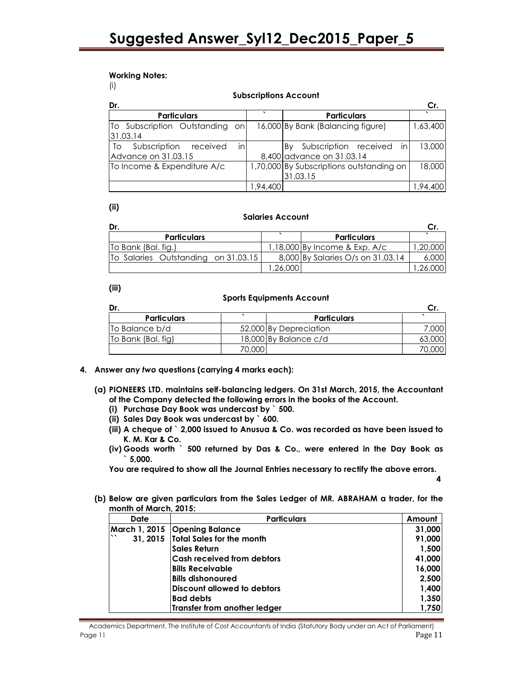#### Working Notes:

(i)

|                                |     |          | <b>SUDSCIIDIIOIIS ACCOUIII</b>           |          |
|--------------------------------|-----|----------|------------------------------------------|----------|
| Dr.                            |     |          |                                          | Cr.      |
| <b>Particulars</b>             |     |          | <b>Particulars</b>                       |          |
| To Subscription Outstanding on |     |          | 16,000 By Bank (Balancing figure)        | 1,63,400 |
| 131.03.14                      |     |          |                                          |          |
| Subscription received<br>To    | inl |          | in<br>Subscription received<br>Bv        | 13,000   |
| Advance on 31.03.15            |     |          | 8,400 advance on 31.03.14                |          |
| To Income & Expenditure A/c    |     |          | 1,70,000 By Subscriptions outstanding on | 18,000   |
|                                |     |          | 31.03.15                                 |          |
|                                |     | 1,94,400 |                                          | 1,94,400 |

Subscriptions Account

### (ii)

#### Salaries Account

| Dr.                                 |        |                                   |         |
|-------------------------------------|--------|-----------------------------------|---------|
| <b>Particulars</b>                  |        | <b>Particulars</b>                |         |
| To Bank (Bal. fig.)                 |        | 1,18,000 By Income & Exp. A/c     | .20,000 |
| To Salaries Outstanding on 31.03.15 |        | 8,000 By Salaries O/s on 31.03.14 | 6,000   |
|                                     | 26,000 |                                   |         |

#### (iii)

#### Sports Equipments Account

| <b>Particulars</b> |        | <b>Particulars</b>     |        |
|--------------------|--------|------------------------|--------|
| To Balance b/d     |        | 52,000 By Depreciation | 7,000  |
| To Bank (Bal. fig) |        | 18,000 By Balance c/d  | 63,000 |
|                    | 70,000 |                        |        |

#### 4. Answer any two questions (carrying 4 marks each):

- (a) PIONEERS LTD. maintains self-balancing ledgers. On 31st March, 2015, the Accountant of the Company detected the following errors in the books of the Account.
	- (i) Purchase Day Book was undercast by ` 500.
	- (ii) Sales Day Book was undercast by ` 600.
	- (iii) A cheque of ` 2,000 issued to Anusua & Co. was recorded as have been issued to K. M. Kar & Co.
	- (iv) Goods worth ` 500 returned by Das & Co., were entered in the Day Book as  $^{\circ}$  5,000.

You are required to show all the Journal Entries necessary to rectify the above errors.

- 4
- (b) Below are given particulars from the Sales Ledger of MR. ABRAHAM a trader, for the month of March, 2015:

| <b>Date</b> | <b>Particulars</b>                 | Amount |
|-------------|------------------------------------|--------|
|             | March 1, 2015 Opening Balance      | 31,000 |
| $\cdot$     | 31, 2015 Total Sales for the month | 91,000 |
|             | <b>Sales Return</b>                | 1,500  |
|             | <b>Cash received from debtors</b>  | 41,000 |
|             | <b>Bills Receivable</b>            | 16,000 |
|             | <b>Bills dishonoured</b>           | 2,500  |
|             | <b>Discount allowed to debtors</b> | 1,400  |
|             | <b>Bad debts</b>                   | 1,350  |
|             | Transfer from another ledger       | 1,750  |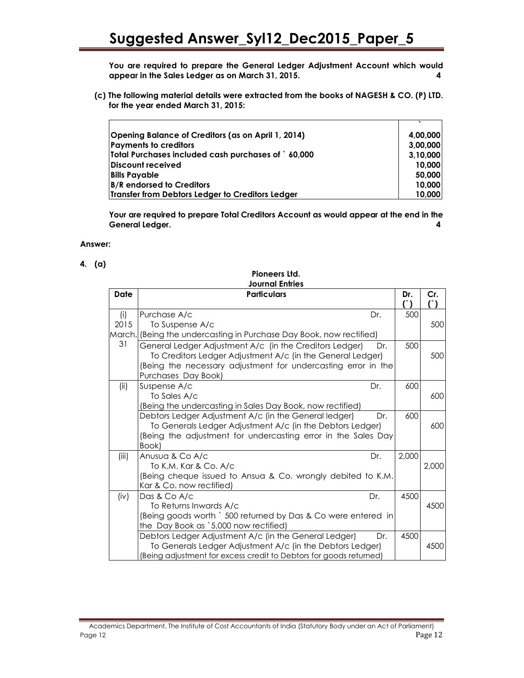You are required to prepare the General Ledger Adjustment Account which would appear in the Sales Ledger as on March 31, 2015. 4

(c) The following material details were extracted from the books of NAGESH & CO. (P) LTD. for the year ended March 31, 2015:

| Opening Balance of Creditors (as on April 1, 2014) | 4,00,000 |
|----------------------------------------------------|----------|
| <b>Payments to creditors</b>                       | 3,00,000 |
| Total Purchases included cash purchases of 60,000  | 3,10,000 |
| Discount received                                  | 10,000   |
| <b>Bills Payable</b>                               | 50,000   |
| <b>B/R</b> endorsed to Creditors                   | 10,000   |
| Transfer from Debtors Ledger to Creditors Ledger   | 10,000   |

Your are required to prepare Total Creditors Account as would appear at the end in the General Ledger. 4

#### Answer:

 $\mathbf{r}$ 

#### 4. (a)

|             | JOUrnal Eniries                                                                                                                                                                                                                                                                             |            |               |
|-------------|---------------------------------------------------------------------------------------------------------------------------------------------------------------------------------------------------------------------------------------------------------------------------------------------|------------|---------------|
| Date        | <b>Particulars</b>                                                                                                                                                                                                                                                                          | Dr.<br>(`) | Cr.<br>$\cap$ |
| (i)<br>2015 | Purchase A/c<br>Dr.<br>To Suspense A/c                                                                                                                                                                                                                                                      | 500        | 500           |
| 31          | March, (Being the undercasting in Purchase Day Book, now rectified)<br>General Ledger Adjustment A/c (in the Creditors Ledger)<br>Dr.<br>To Creditors Ledger Adjustment A/c (in the General Ledger)<br>(Being the necessary adjustment for undercasting error in the<br>Purchases Day Book) | 500        | 500           |
| (ii)        | Suspense A/c<br>Dr.<br>To Sales A/c<br>(Being the undercasting in Sales Day Book, now rectified)                                                                                                                                                                                            | 600        | 600           |
|             | Debtors Ledger Adjustment A/c (in the General ledger)<br>Dr.<br>To Generals Ledger Adjustment A/c (in the Debtors Ledger)<br>(Being the adjustment for undercasting error in the Sales Day<br>Book)                                                                                         | 600        | 600           |
| (iii)       | Anusua & Co A/c<br>Dr.<br>To K.M. Kar & Co. A/c<br>(Being cheque issued to Ansua & Co. wrongly debited to K.M.<br>Kar & Co. now rectified)                                                                                                                                                  | 2,000      | 2,000         |
| (iv)        | Dr.<br>Das & Co A/c<br>To Returns Inwards A/c<br>(Being goods worth ` 500 returned by Das & Co were entered in<br>the Day Book as `5,000 now rectified)                                                                                                                                     | 4500       | 4500          |
|             | Debtors Ledger Adjustment A/c (in the General Ledger)<br>Dr.<br>To Generals Ledger Adjustment A/c (in the Debtors Ledger)<br>(Being adjustment for excess credit to Debtors for goods returned)                                                                                             | 4500       | 4500          |

Pioneers Ltd. Journal Entries

#### Academics Department, The Institute of Cost Accountants of India (Statutory Body under an Act of Parliament) Page 12 Page 12 Page 12 Page 12 Page 12 Page 12 Page 12 Page 12 Page 12 Page 12 Page 12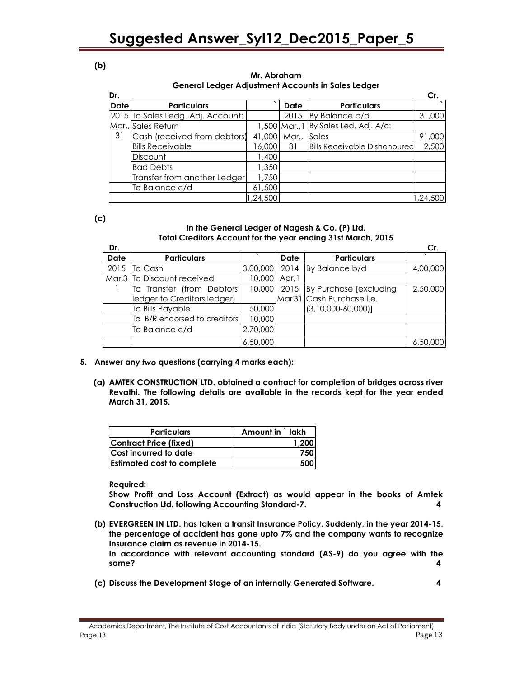#### (b)

#### Mr. Abraham General Ledger Adjustment Accounts in Sales Ledger

| Dr.         |                                   |          |                 |                                     | Cr.      |
|-------------|-----------------------------------|----------|-----------------|-------------------------------------|----------|
| <b>Date</b> | <b>Particulars</b>                |          | Date            | <b>Particulars</b>                  |          |
|             | 2015 To Sales Ledg. Adj. Account: |          | 2015            | By Balance b/d                      | 31,000   |
|             | Mar., Sales Return                |          | $1,500$ Mar., 1 | By Sales Led. Adj. A/c:             |          |
| 31          | Cash (received from debtors)      | 41,000   | Mar.,           | Sales                               | 91,000   |
|             | <b>Bills Receivable</b>           | 6,000    | 31              | <b>Bills Receivable Dishonoured</b> | 2,500    |
|             | <b>Discount</b>                   | 1,400    |                 |                                     |          |
|             | <b>Bad Debts</b>                  | 1,350    |                 |                                     |          |
|             | Transfer from another Ledger      | 1,750    |                 |                                     |          |
|             | To Balance c/d                    | 61,500   |                 |                                     |          |
|             |                                   | 1,24,500 |                 |                                     | 1,24,500 |

(c)

#### In the General Ledger of Nagesh & Co. (P) Ltd. Total Creditors Account for the year ending 31st March, 2015

| Dr.  |                              |          |             |                                     | Сr.      |
|------|------------------------------|----------|-------------|-------------------------------------|----------|
| Date | <b>Particulars</b>           |          | <b>Date</b> | <b>Particulars</b>                  |          |
| 2015 | To Cash                      | 3,00,000 |             | 2014 By Balance b/d                 | 4,00,000 |
|      | Mar, 3 To Discount received  | 10,000   | Apr, 1      |                                     |          |
|      | To Transfer (from Debtors)   |          |             | 10,000 2015 By Purchase [excluding] | 2,50,000 |
|      | ledger to Creditors ledger)  |          |             | Mar'31 Cash Purchase i.e.           |          |
|      | To Bills Payable             | 50,000   |             | $(3,10,000-60,000)]$                |          |
|      | To B/R endorsed to creditors | 10,000   |             |                                     |          |
|      | To Balance c/d               | 2,70,000 |             |                                     |          |
|      |                              | 6,50,000 |             |                                     | 6,50,000 |

- 5. Answer any two questions (carrying 4 marks each):
	- (a) AMTEK CONSTRUCTION LTD. obtained a contract for completion of bridges across river Revathi. The following details are available in the records kept for the year ended March 31, 2015.

| <b>Particulars</b>                | Amount in `lakh |
|-----------------------------------|-----------------|
| <b>Contract Price (fixed)</b>     | 1.200           |
| Cost incurred to date             | 750             |
| <b>Estimated cost to complete</b> | 500             |

Required:

Show Profit and Loss Account (Extract) as would appear in the books of Amtek Construction Ltd. following Accounting Standard-7. 4

(b) EVERGREEN IN LTD. has taken a transit Insurance Policy. Suddenly, in the year 2014-15, the percentage of accident has gone upto 7% and the company wants to recognize Insurance claim as revenue in 2014-15.

In accordance with relevant accounting standard (AS-9) do you agree with the same? 4

(c) Discuss the Development Stage of an internally Generated Software. 4

Academics Department, The Institute of Cost Accountants of India (Statutory Body under an Act of Parliament) Page 13 Page 13 Page 13 Page 14 Page 14 Page 15 Page 14 Page 15 Page 15 Page 15 Page 15 Page 15 Page 15 Page 1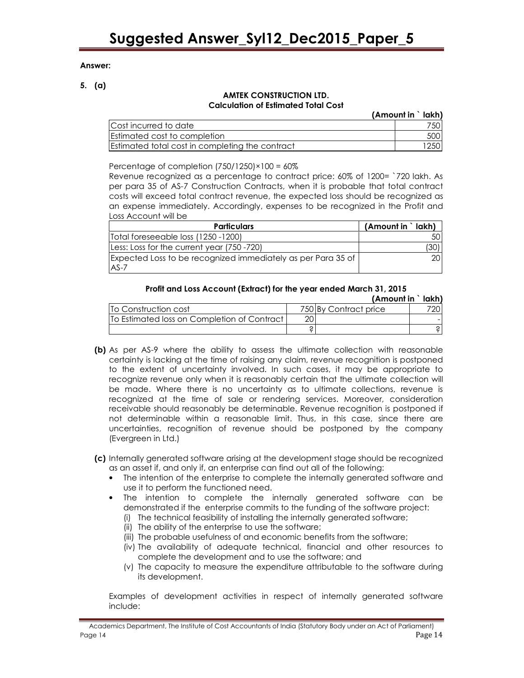#### Answer:

5. (a)

#### AMTEK CONSTRUCTION LTD. Calculation of Estimated Total Cost

| ______________________________                  |                   |            |
|-------------------------------------------------|-------------------|------------|
|                                                 | (Amount in `lakh) |            |
| Cost incurred to date                           |                   | 7501       |
| <b>Estimated cost to completion</b>             |                   | 500        |
| Estimated total cost in completing the contract |                   | <b>250</b> |

Percentage of completion  $(750/1250) \times 100 = 60\%$ 

Revenue recognized as a percentage to contract price: 60% of 1200= `720 lakh. As per para 35 of AS-7 Construction Contracts, when it is probable that total contract costs will exceed total contract revenue, the expected loss should be recognized as an expense immediately. Accordingly, expenses to be recognized in the Profit and Loss Account will be

| <b>Particulars</b>                                           | (Amount in `lakh) |
|--------------------------------------------------------------|-------------------|
| Total foreseeable loss (1250 -1200)                          |                   |
| Less: Loss for the current year (750-720)                    |                   |
| Expected Loss to be recognized immediately as per Para 35 of | 201               |
| IAS-7                                                        |                   |

#### Profit and Loss Account (Extract) for the year ended March 31, 2015

|                                               |    | (Amount in ` lakh)    |  |
|-----------------------------------------------|----|-----------------------|--|
| <b>ITo Construction cost</b>                  |    | 750 By Contract price |  |
| [To Estimated loss on Completion of Contract] | 20 |                       |  |
|                                               |    |                       |  |

- (b) As per AS-9 where the ability to assess the ultimate collection with reasonable certainty is lacking at the time of raising any claim, revenue recognition is postponed to the extent of uncertainty involved. In such cases, it may be appropriate to recognize revenue only when it is reasonably certain that the ultimate collection will be made. Where there is no uncertainty as to ultimate collections, revenue is recognized at the time of sale or rendering services. Moreover, consideration receivable should reasonably be determinable. Revenue recognition is postponed if not determinable within a reasonable limit. Thus, in this case, since there are uncertainties, recognition of revenue should be postponed by the company (Evergreen in Ltd.)
- (c) Internally generated software arising at the development stage should be recognized as an asset if, and only if, an enterprise can find out all of the following:
	- The intention of the enterprise to complete the internally generated software and use it to perform the functioned need.
	- The intention to complete the internally generated software can be demonstrated if the enterprise commits to the funding of the software project:
		- (i) The technical feasibility of installing the internally generated software;
		- (ii) The ability of the enterprise to use the software;
		- (iii) The probable usefulness of and economic benefits from the software;
		- (iv) The availability of adequate technical, financial and other resources to complete the development and to use the software; and
		- (v) The capacity to measure the expenditure attributable to the software during its development.

Examples of development activities in respect of internally generated software include: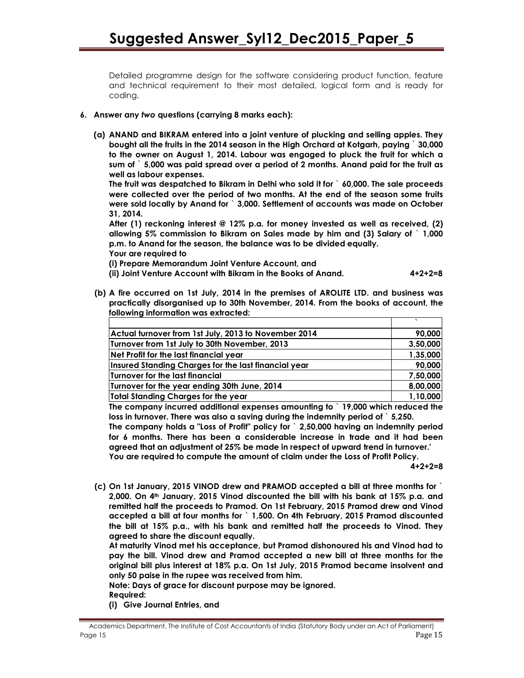Detailed programme design for the software considering product function, feature and technical requirement to their most detailed, logical form and is ready for coding.

#### 6. Answer any two questions (carrying 8 marks each):

(a) ANAND and BIKRAM entered into a joint venture of plucking and selling apples. They bought all the fruits in the 2014 season in the High Orchard at Kotgarh, paying ` 30,000 to the owner on August 1, 2014. Labour was engaged to pluck the fruit for which a sum of ` 5,000 was paid spread over a period of 2 months. Anand paid for the fruit as well as labour expenses.

The fruit was despatched to Bikram in Delhi who sold it for ` 60,000. The sale proceeds were collected over the period of two months. At the end of the season some fruits were sold locally by Anand for ` 3,000. Settlement of accounts was made on October 31, 2014.

After (1) reckoning interest @ 12% p.a. for money invested as well as received, (2) allowing 5% commission to Bikram on Sales made by him and (3) Salary of ` 1,000 p.m. to Anand for the season, the balance was to be divided equally.

Your are required to

(i) Prepare Memorandum Joint Venture Account, and

(ii) Joint Venture Account with Bikram in the Books of Anand. 4+2+2=8

(b) A fire occurred on 1st July, 2014 in the premises of AROLITE LTD. and business was practically disorganised up to 30th November, 2014. From the books of account, the following information was extracted:

| Actual turnover from 1st July, 2013 to November 2014 | 90,000   |
|------------------------------------------------------|----------|
| Turnover from 1st July to 30th November, 2013        | 3,50,000 |
| Net Profit for the last financial year               | 1,35,000 |
| Insured Standing Charges for the last financial year | 90,000   |
| Turnover for the last financial                      | 7,50,000 |
| Turnover for the year ending 30th June, 2014         | 8,00,000 |
| Total Standing Charges for the year                  | 1,10,000 |

The company incurred additional expenses amounting to ` 19,000 which reduced the loss in turnover. There was also a saving during the indemnity period of ` 5,250.

The company holds a "Loss of Profit" policy for ` 2,50,000 having an indemnity period for 6 months. There has been a considerable increase in trade and it had been agreed that an adjustment of 25% be made in respect of upward trend in turnover.' You are required to compute the amount of claim under the Loss of Profit Policy.

 $4+2+2=8$ 

(c) On 1st January, 2015 VINOD drew and PRAMOD accepted a bill at three months for ` 2,000. On 4th January, 2015 Vinod discounted the bill with his bank at 15% p.a. and remitted half the proceeds to Pramod. On 1st February, 2015 Pramod drew and Vinod accepted a bill at four months for ` 1,500. On 4th February, 2015 Pramod discounted the bill at 15% p.a., with his bank and remitted half the proceeds to Vinod. They agreed to share the discount equally.

At maturity Vinod met his acceptance, but Pramod dishonoured his and Vinod had to pay the bill. Vinod drew and Pramod accepted a new bill at three months for the original bill plus interest at 18% p.a. On 1st July, 2015 Pramod became insolvent and only 50 paise in the rupee was received from him.

Note: Days of grace for discount purpose may be ignored.

Required:

(i) Give Journal Entries, and

Academics Department, The Institute of Cost Accountants of India (Statutory Body under an Act of Parliament) Page 15 Page 15 Page 15 Page 15 Page 15 Page 15 Page 16 Page 16 Page 16 Page 16 Page 16 Page 16 Page 16 Page 16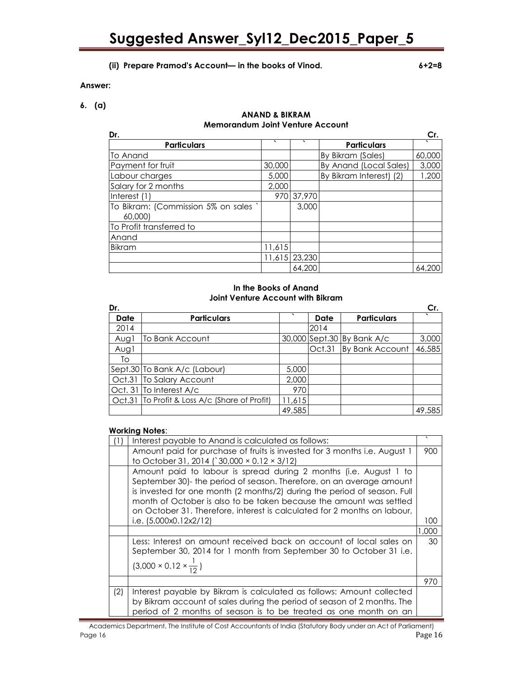#### (ii) Prepare Pramod's Account— in the books of Vinod. 6+2=8

#### Answer:

6. (a)

#### ANAND & BIKRAM Memorandum Joint Venture Account

| Dr.                                  |        |               |                         | Cr.    |
|--------------------------------------|--------|---------------|-------------------------|--------|
| <b>Particulars</b>                   | ヽ      | $\cdot$       | <b>Particulars</b>      |        |
| To Anand                             |        |               | By Bikram (Sales)       | 60,000 |
| Payment for fruit                    | 30,000 |               | By Anand (Local Sales)  | 3,000  |
| Labour charges                       | 5,000  |               | By Bikram Interest) (2) | 1,200  |
| Salary for 2 months                  | 2,000  |               |                         |        |
| Interest (1)                         | 970    | 37,970        |                         |        |
| To Bikram: (Commission 5% on sales ` |        | 3,000         |                         |        |
| 60,000)                              |        |               |                         |        |
| To Profit transferred to             |        |               |                         |        |
| Anand                                |        |               |                         |        |
| <b>Bikram</b>                        | 11,615 |               |                         |        |
|                                      |        | 11,615 23,230 |                         |        |
|                                      |        | 64,200        |                         | 64.200 |

#### In the Books of Anand Joint Venture Account with Bikram

| Dr.  |                                               |        |             |                            | Cr.    |
|------|-----------------------------------------------|--------|-------------|----------------------------|--------|
| Date | <b>Particulars</b>                            | ◥      | <b>Date</b> | <b>Particulars</b>         |        |
| 2014 |                                               |        | 2014        |                            |        |
| Augl | To Bank Account                               |        |             | 30,000 Sept.30 By Bank A/c | 3,000  |
| Augl |                                               |        | Oct.31      | By Bank Account            | 46,585 |
| To   |                                               |        |             |                            |        |
|      | Sept.30 To Bank A/c (Labour)                  | 5,000  |             |                            |        |
|      | Oct.31 To Salary Account                      | 2,000  |             |                            |        |
|      | Oct. 31 To Interest A/c                       | 970    |             |                            |        |
|      | Oct.31 To Profit & Loss A/c (Share of Profit) | 11,615 |             |                            |        |
|      |                                               | 49,585 |             |                            | 49,585 |

#### Working Notes:

|     | Interest payable to Anand is calculated as follows:                       |       |
|-----|---------------------------------------------------------------------------|-------|
|     | Amount paid for purchase of fruits is invested for 3 months i.e. August 1 | 900   |
|     | to October 31, 2014 ( $30,000 \times 0.12 \times 3/12$ )                  |       |
|     | Amount paid to labour is spread during 2 months (i.e. August 1 to         |       |
|     | September 30)- the period of season. Therefore, on an average amount      |       |
|     | is invested for one month (2 months/2) during the period of season. Full  |       |
|     | month of October is also to be taken because the amount was settled       |       |
|     | on October 31. Therefore, interest is calculated for 2 months on labour,  |       |
|     | i.e. $(5,000x0.12x2/12)$                                                  | 100   |
|     |                                                                           | 1,000 |
|     | Less: Interest on amount received back on account of local sales on       | 30    |
|     | September 30, 2014 for 1 month from September 30 to October 31 i.e.       |       |
|     | $(3,000 \times 0.12 \times \frac{1}{12})$                                 |       |
|     |                                                                           |       |
|     |                                                                           | 970   |
| (2) | Interest payable by Bikram is calculated as follows: Amount collected     |       |
|     | by Bikram account of sales during the period of season of 2 months. The   |       |
|     | period of 2 months of season is to be treated as one month on an          |       |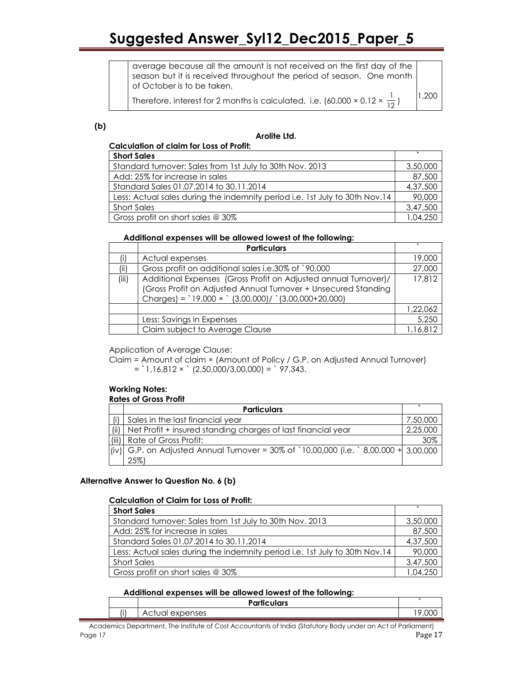average because all the amount is not received on the first day of the season but it is received throughout the period of season. One month of October is to be taken.

Therefore, interest for 2 months is calculated, i.e. (60,000 × 0.12 ×  $\frac{1}{12}$  )

1,200

(b)

#### Arolite Ltd.

#### Calculation of claim for Loss of Profit:

| <b>Short Sales</b>                                                          |          |
|-----------------------------------------------------------------------------|----------|
| Standard turnover: Sales from 1st July to 30th Nov. 2013                    |          |
| Add: 25% for increase in sales                                              | 87,500   |
| Standard Sales 01.07.2014 to 30.11.2014                                     | 4,37,500 |
| Less: Actual sales during the indemnity period i.e. 1st July to 30th Nov.14 | 90,000   |
| <b>Short Sales</b>                                                          | 3,47,500 |
| Gross profit on short sales @ 30%                                           | 1,04,250 |

#### Additional expenses will be allowed lowest of the following:

|       | <b>Particulars</b>                                                                                                                                                                            |          |
|-------|-----------------------------------------------------------------------------------------------------------------------------------------------------------------------------------------------|----------|
|       | Actual expenses                                                                                                                                                                               | 19,000   |
| (iii) | Gross profit on additional sales i.e.30% of `90,000                                                                                                                                           | 27,000   |
| (iii) | Additional Expenses (Gross Profit on Adjusted annual Turnover)/<br>(Gross Profit on Adjusted Annual Turnover + Unsecured Standing<br>Charges) = $19,000 \times$ (3,00,000)/ (3,00,000+20,000) | 17,812   |
|       |                                                                                                                                                                                               | 1,22,062 |
|       | Less: Savings in Expenses                                                                                                                                                                     | 5,250    |
|       | Claim subject to Average Clause                                                                                                                                                               | 1,16,812 |

Application of Average Clause:

Claim = Amount of claim × (Amount of Policy / G.P. on Adjusted Annual Turnover)  $=$  `1,16,812  $\times$  ` (2,50,000/3,00,000) = ` 97,343.

#### Working Notes: Rates of Gross Profit

|     | <b>Particulars</b>                                                                    |          |
|-----|---------------------------------------------------------------------------------------|----------|
| (i) | Sales in the last financial year                                                      | 7,50,000 |
|     | (ii)   Net Profit + insured standing charges of last financial year                   | 2,25,000 |
|     | (iii) Rate of Gross Profit:                                                           | 30%      |
|     | (iv) G.P. on Adjusted Annual Turnover = 30% of `10,00,000 (i.e. `8,00,000 + 3,00,000) |          |
|     | $25\%$                                                                                |          |

#### Alternative Answer to Question No. 6 (b)

#### Calculation of Claim for Loss of Profit:

| <b>Short Sales</b>                                                          |          |
|-----------------------------------------------------------------------------|----------|
| Standard turnover: Sales from 1st July to 30th Nov. 2013                    | 3,50,000 |
| Add: 25% for increase in sales                                              | 87,500   |
| Standard Sales 01.07.2014 to 30.11.2014                                     | 4,37,500 |
| Less: Actual sales during the indemnity period i.e. 1st July to 30th Nov.14 | 90,000   |
| <b>Short Sales</b>                                                          | 3,47,500 |
| Gross profit on short sales @ 30%                                           | 1,04,250 |

#### Additional expenses will be allowed lowest of the following:

|     | <b>Particulars</b> |   |
|-----|--------------------|---|
| (i) | penses<br>⊷<br>AU. | м |

Academics Department, The Institute of Cost Accountants of India (Statutory Body under an Act of Parliament) Page 17 Page 17 Page 17 Page 17 Page 17 Page 17 Page 17 Page 17 Page 17 Page 17 Page 17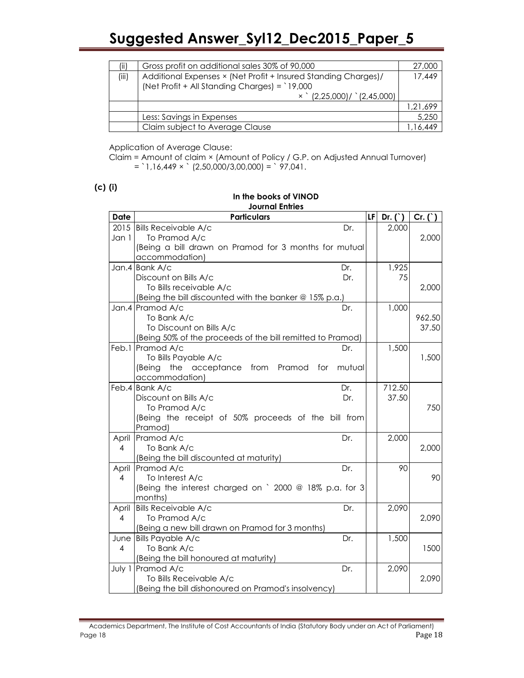| (ii)  | Gross profit on additional sales 30% of 90,000                 | 27,000   |
|-------|----------------------------------------------------------------|----------|
| (iii) | Additional Expenses × (Net Profit + Insured Standing Charges)/ |          |
|       | (Net Profit + All Standing Charges) = `19,000                  |          |
|       | $\times$ (2,25,000)/ (2,45,000)                                |          |
|       |                                                                | 1,21,699 |
|       | Less: Savings in Expenses                                      | 5,250    |
|       | Claim subject to Average Clause                                |          |

Application of Average Clause:

Claim = Amount of claim × (Amount of Policy / G.P. on Adjusted Annual Turnover)  $=$  1,16,449  $\times$  (2,50,000/3,00,000) = `97,041.

#### (c) (i)

#### In the books of VINOD Journal Entries

| Date           | בסוווועו בוווווכט<br><b>Particulars</b>                    | LF | Dr. ( ) | $Cr. (^)$ |
|----------------|------------------------------------------------------------|----|---------|-----------|
| 2015           | <b>Bills Receivable A/c</b><br>Dr.                         |    | 2,000   |           |
| Jan 1          | To Pramod A/c                                              |    |         | 2,000     |
|                | (Being a bill drawn on Pramod for 3 months for mutual      |    |         |           |
|                | accommodation)                                             |    |         |           |
|                | Jan.4 Bank A/c<br>Dr.                                      |    | 1,925   |           |
|                | Discount on Bills A/c<br>Dr.                               |    | 75      |           |
|                | To Bills receivable A/c                                    |    |         | 2,000     |
|                | (Being the bill discounted with the banker @ 15% p.a.)     |    |         |           |
|                | Jan.4 Pramod A/c<br>Dr.                                    |    | 1,000   |           |
|                | To Bank A/c                                                |    |         | 962.50    |
|                | To Discount on Bills A/c                                   |    |         | 37.50     |
|                | (Being 50% of the proceeds of the bill remitted to Pramod) |    |         |           |
| Feb.1          | Pramod A/c<br>Dr.                                          |    | 1,500   |           |
|                | To Bills Payable A/c                                       |    |         | 1,500     |
|                | (Being the acceptance from<br>Pramod for<br>mutual         |    |         |           |
|                | accommodation)                                             |    |         |           |
|                | Feb.4 Bank A/c<br>Dr.                                      |    | 712.50  |           |
|                | Discount on Bills A/c<br>Dr.                               |    | 37.50   |           |
|                | To Pramod A/c                                              |    |         | 750       |
|                | (Being the receipt of 50% proceeds of the bill from        |    |         |           |
|                | Pramod)                                                    |    |         |           |
| April          | Pramod A/c<br>Dr.                                          |    | 2,000   |           |
| 4              | To Bank A/c                                                |    |         | 2,000     |
|                | (Being the bill discounted at maturity)                    |    |         |           |
| April          | Pramod A/c<br>Dr.                                          |    | 90      |           |
| 4              | To Interest A/c                                            |    |         | 90        |
|                | (Being the interest charged on ` 2000 @ 18% p.a. for 3     |    |         |           |
|                | months)                                                    |    |         |           |
| April          | <b>Bills Receivable A/c</b><br>Dr.                         |    | 2,090   |           |
| 4              | To Pramod A/c                                              |    |         | 2,090     |
|                | (Being a new bill drawn on Pramod for 3 months)            |    |         |           |
| June           | <b>Bills Payable A/c</b><br>Dr.                            |    | 1,500   |           |
| $\overline{4}$ | To Bank A/c                                                |    |         | 1500      |
|                | (Being the bill honoured at maturity)                      |    |         |           |
|                | July 1 Pramod A/c<br>Dr.                                   |    | 2,090   |           |
|                | To Bills Receivable A/c                                    |    |         | 2,090     |
|                | (Being the bill dishonoured on Pramod's insolvency)        |    |         |           |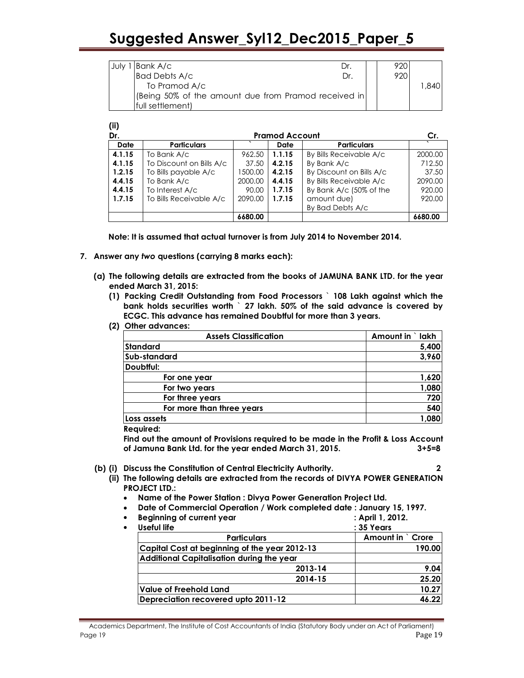| July | 1 Bank A/c                                           | Dr. | 920. |      |
|------|------------------------------------------------------|-----|------|------|
|      | <b>Bad Debts A/c</b>                                 | Dr. | 920  |      |
|      | To Pramod A/c                                        |     |      | .840 |
|      | (Being 50% of the amount due from Pramod received in |     |      |      |
|      | <b>Ifull settlement)</b>                             |     |      |      |

| w<br>Dr.    | <b>Pramod Account</b>    |         |        |                          | Cr.     |
|-------------|--------------------------|---------|--------|--------------------------|---------|
| <b>Date</b> | <b>Particulars</b>       |         | Date   | <b>Particulars</b>       |         |
| 4.1.15      | To Bank A/c              | 962.50  | 1.1.15 | By Bills Receivable A/c  | 2000.00 |
| 4.1.15      | To Discount on Bills A/c | 37.50   | 4.2.15 | By Bank A/c              | 712.50  |
| 1.2.15      | To Bills payable A/c     | 1500.00 | 4.2.15 | By Discount on Bills A/c | 37.50   |
| 4.4.15      | To Bank A/c              | 2000.00 | 4.4.15 | By Bills Receivable A/c  | 2090.00 |
| 4.4.15      | To Interest A/c          | 90.00   | 1.7.15 | By Bank A/c (50% of the  | 920.00  |
| 1.7.15      | To Bills Receivable A/c  | 2090.00 | 1.7.15 | amount due)              | 920.00  |
|             |                          |         |        | By Bad Debts A/c         |         |
|             |                          | 6680.00 |        |                          | 6680.00 |

Note: It is assumed that actual turnover is from July 2014 to November 2014.

- 7. Answer any two questions (carrying 8 marks each):
	- (a) The following details are extracted from the books of JAMUNA BANK LTD. for the year ended March 31, 2015:
		- (1) Packing Credit Outstanding from Food Processors ` 108 Lakh against which the bank holds securities worth ` 27 lakh. 50% of the said advance is covered by ECGC. This advance has remained Doubtful for more than 3 years.
		- (2) Other advances:

 $\overline{I}$ 

| <b>Assets Classification</b> | Amount in `lakh |       |
|------------------------------|-----------------|-------|
| Standard                     |                 | 5,400 |
| Sub-standard                 |                 | 3,960 |
| Doubtful:                    |                 |       |
| For one year                 |                 | 1,620 |
| For two years                |                 | 1,080 |
| For three years              |                 | 720   |
| For more than three years    |                 | 540   |
| Loss assets                  |                 | 1,080 |

Required:

Find out the amount of Provisions required to be made in the Profit & Loss Account of Jamuna Bank Ltd. for the year ended March 31, 2015. 3+5=8

- (b) (i) Discuss the Constitution of Central Electricity Authority. 2
	- (ii) The following details are extracted from the records of DIVYA POWER GENERATION PROJECT LTD.:
		- Name of the Power Station : Divya Power Generation Project Ltd.
		- Date of Commercial Operation / Work completed date : January 15, 1997.
		- Beginning of current year **interpretate and the Contract Contract Contract Contract Contract Contract Contract Contract Contract Contract Contract Contract Contract Contract Contract Contract Contract Contract Contract Con**

| Useful life                                      | : 35 Years       |
|--------------------------------------------------|------------------|
| <b>Particulars</b>                               | Amount in `Crore |
| Capital Cost at beginning of the year 2012-13    | 190.00           |
| <b>Additional Capitalisation during the year</b> |                  |
| 2013-14                                          | 9.04             |
| 2014-15                                          | 25.20            |
| Value of Freehold Land                           | 10.27            |
| Depreciation recovered upto 2011-12              | 46.22            |

Academics Department, The Institute of Cost Accountants of India (Statutory Body under an Act of Parliament) Page 19 Page 19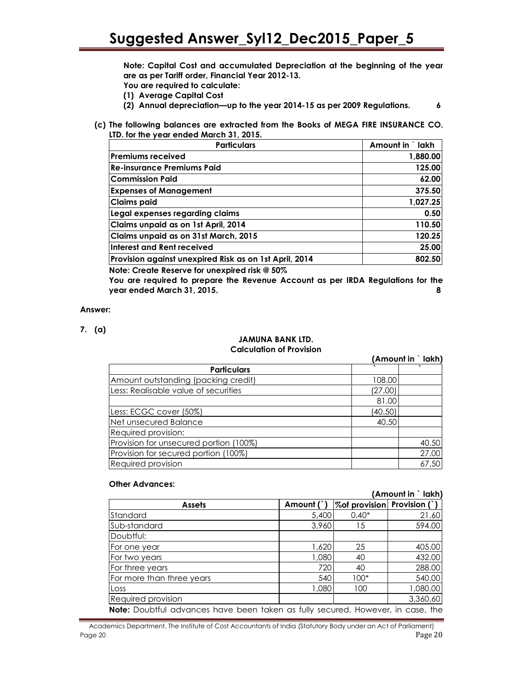Note: Capital Cost and accumulated Depreciation at the beginning of the year are as per Tariff order, Financial Year 2012-13.

- You are required to calculate:
- (1) Average Capital Cost
- (2) Annual depreciation—up to the year 2014-15 as per 2009 Regulations. 6
- (c) The following balances are extracted from the Books of MEGA FIRE INSURANCE CO. LTD. for the year ended March 31, 2015.

| <b>Particulars</b>                                     | Amount in `lakh |
|--------------------------------------------------------|-----------------|
| <b>Premiums received</b>                               | 1,880.00        |
| <b>Re-insurance Premiums Paid</b>                      | 125.00          |
| <b>Commission Paid</b>                                 | 62.00           |
| <b>Expenses of Management</b>                          | 375.50          |
| <b>Claims paid</b>                                     | 1,027.25        |
| Legal expenses regarding claims                        | 0.50            |
| Claims unpaid as on 1st April, 2014                    | 110.50          |
| Claims unpaid as on 31st March, 2015                   | 120.25          |
| Interest and Rent received                             | 25.00           |
| Provision against unexpired Risk as on 1st April, 2014 | 802.50          |
| Note: Create Reserve for unexpired risk @ 50%          |                 |

You are required to prepare the Revenue Account as per IRDA Regulations for the year ended March 31, 2015. 8

#### Answer:

7. (a)

#### JAMUNA BANK LTD. Calculation of Provision

|                                        |         | (Amount in `lakh) |
|----------------------------------------|---------|-------------------|
| <b>Particulars</b>                     |         |                   |
| Amount outstanding (packing credit)    | 108.00  |                   |
| Less: Realisable value of securities   | (27.00) |                   |
|                                        | 81.00   |                   |
| Less: ECGC cover (50%)                 | (40.50) |                   |
| Net unsecured Balance                  | 40.50   |                   |
| Required provision:                    |         |                   |
| Provision for unsecured portion (100%) |         | 40.50             |
| Provision for secured portion (100%)   |         | 27.00             |
| Required provision                     |         | 67.50             |

#### Other Advances:

|                                                                                        |              |                                 | (Amount in ` lakh) |
|----------------------------------------------------------------------------------------|--------------|---------------------------------|--------------------|
| <b>Assets</b>                                                                          | Amount $( )$ | $\%$ of provision Provision (`) |                    |
| Standard                                                                               | 5,400        | $0.40*$                         | 21.60              |
| Sub-standard                                                                           | 3,960        | 15                              | 594.00             |
| Doubtful:                                                                              |              |                                 |                    |
| For one year                                                                           | 1,620        | 25                              | 405.00             |
| For two years                                                                          | 1,080        | 40                              | 432.00             |
| For three years                                                                        | 720          | 40                              | 288.00             |
| For more than three years                                                              | 540          | $100*$                          | 540.00             |
| Loss                                                                                   | 1,080        | 100                             | 1,080.00           |
| Required provision                                                                     |              |                                 | 3,360.60           |
| <b>Note:</b> Doubtful advances have been taken as fully secured. However, in case, the |              |                                 |                    |

#### Academics Department, The Institute of Cost Accountants of India (Statutory Body under an Act of Parliament) Page 20 Page 20 Page 20 Page 20 Page 20 Page 20 Page 20 Page 20 Page 20 Page 20 Page 20 Page 20 Page 20 Page 20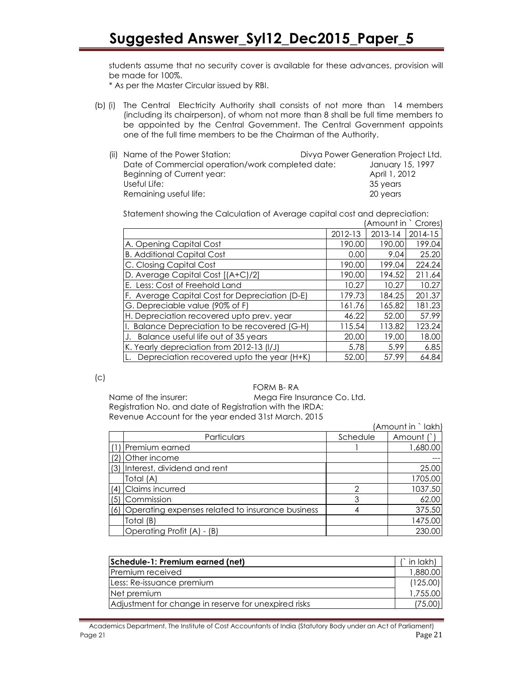students assume that no security cover is available for these advances, provision will be made for 100%.

\* As per the Master Circular issued by RBI.

(b) (i) The Central Electricity Authority shall consists of not more than 14 members (including its chairperson), of whom not more than 8 shall be full time members to be appointed by the Central Government. The Central Government appoints one of the full time members to be the Chairman of the Authority.

| (ii) Name of the Power Station:                   | Divya Power Generation Project Ltd. |                  |  |
|---------------------------------------------------|-------------------------------------|------------------|--|
| Date of Commercial operation/work completed date: |                                     | January 15, 1997 |  |
| Beginning of Current year:                        |                                     | April 1, 2012    |  |
| Useful Life:                                      |                                     | 35 years         |  |
| Remaining useful life:                            |                                     | 20 years         |  |

Statement showing the Calculation of Average capital cost and depreciation: (Amount in ` Crores)

|                                                |         | AITIOUTIL IIT | CIUIUS,     |
|------------------------------------------------|---------|---------------|-------------|
|                                                | 2012-13 | 2013-14       | $2014 - 15$ |
| A. Opening Capital Cost                        | 190.00  | 190.00        | 199.04      |
| <b>B. Additional Capital Cost</b>              | 0.00    | 9.04          | 25.20       |
| C. Closing Capital Cost                        | 190.00  | 199.04        | 224.24      |
| D. Average Capital Cost [(A+C)/2]              | 190.00  | 194.52        | 211.64      |
| E. Less: Cost of Freehold Land                 | 10.27   | 10.27         | 10.27       |
| F. Average Capital Cost for Depreciation (D-E) | 179.73  | 184.25        | 201.37      |
| G. Depreciable value (90% of F)                | 161.76  | 165.82        | 181.23      |
| H. Depreciation recovered upto prev. year      | 46.22   | 52.00         | 57.99       |
| Balance Depreciation to be recovered (G-H)     | 115.54  | 113.82        | 123.24      |
| J. Balance useful life out of 35 years         | 20.00   | 19.00         | 18.00       |
| K. Yearly depreciation from 2012-13 (I/J)      | 5.78    | 5.99          | 6.85        |
| Depreciation recovered upto the year (H+K)     | 52.00   | 57.99         | 64.84       |

#### $(c)$

#### FORM B- RA

Name of the insurer: Mega Fire Insurance Co. Ltd. Registration No. and date of Registration with the IRDA: Revenue Account for the year ended 31st March. 2015

|     |                                                  |          | (Amount in `lakh) |
|-----|--------------------------------------------------|----------|-------------------|
|     | <b>Particulars</b>                               | Schedule | Amount (`)        |
|     | Premium earned                                   |          | 1,680.00          |
|     | Other income                                     |          |                   |
| (3) | Interest, dividend and rent                      |          | 25.00             |
|     | Total (A)                                        |          | 1705.00           |
| (4) | Claims incurred                                  | ∩        | 1037.50           |
| (5) | Commission                                       | 3        | 62.00             |
| (6) | Operating expenses related to insurance business |          | 375.50            |
|     | Total (B)                                        |          | 1475.00           |
|     | Operating Profit (A) - (B)                       |          | 230.00            |

| Schedule-1: Premium earned (net)                     | ` in lakh) |
|------------------------------------------------------|------------|
| Premium received                                     | 1,880.00   |
| Less: Re-issuance premium                            | (125.00)   |
| Net premium                                          | 1,755.00   |
| Adjustment for change in reserve for unexpired risks | 75.001     |